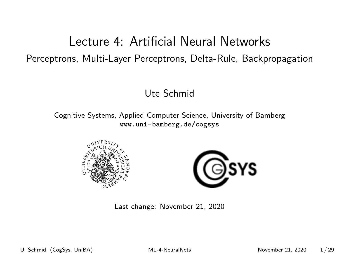### <span id="page-0-0"></span>Lecture 4: Artificial Neural Networks Perceptrons, Multi-Layer Perceptrons, Delta-Rule, Backpropagation

#### Ute Schmid

Cognitive Systems, Applied Computer Science, University of Bamberg <www.uni-bamberg.de/cogsys>





Last change: November 21, 2020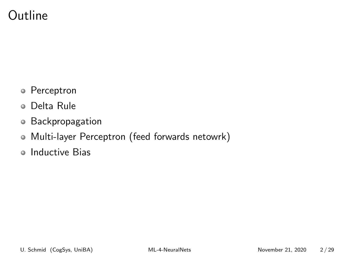### Outline

- Perceptron
- Delta Rule
- Backpropagation
- Multi-layer Perceptron (feed forwards netowrk)
- Inductive Bias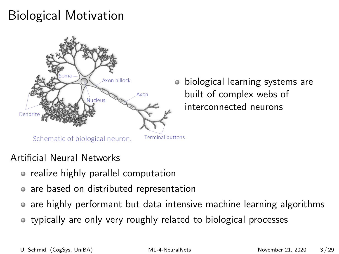# Biological Motivation



biological learning systems are  $\bullet$ built of complex webs of interconnected neurons

#### Schematic of biological neuron.

**Terminal buttons** 

#### Artificial Neural Networks

- realize highly parallel computation
- are based on distributed representation
- are highly performant but data intensive machine learning algorithms
- typically are only very roughly related to biological processes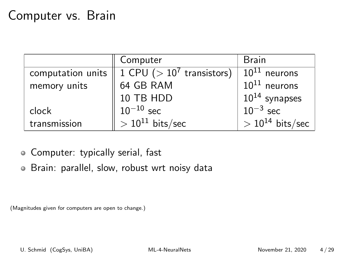### Computer vs. Brain

|                   | Computer                      | <b>Brain</b>         |
|-------------------|-------------------------------|----------------------|
| computation units | 1 CPU ( $> 10^7$ transistors) | $10^{11}$ neurons    |
| memory units      | 64 GB RAM                     | $10^{11}$ neurons    |
|                   | $10$ TB HDD $10^{-10}$ sec    | $10^{14}$ synapses   |
| clock             |                               | $10^{-3}$ sec        |
| transmission      | $> 10^{11}$ bits/sec          | $> 10^{14}$ bits/sec |

Computer: typically serial, fast

Brain: parallel, slow, robust wrt noisy data

(Magnitudes given for computers are open to change.)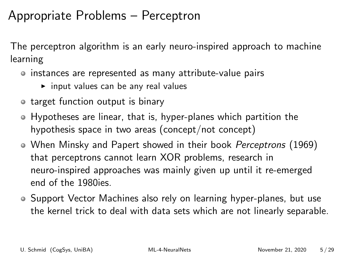### Appropriate Problems – Perceptron

The perceptron algorithm is an early neuro-inspired approach to machine learning

- instances are represented as many attribute-value pairs
	- $\triangleright$  input values can be any real values
- target function output is binary
- Hypotheses are linear, that is, hyper-planes which partition the hypothesis space in two areas (concept/not concept)
- When Minsky and Papert showed in their book *Perceptrons* (1969) that perceptrons cannot learn XOR problems, research in neuro-inspired approaches was mainly given up until it re-emerged end of the 1980ies.
- Support Vector Machines also rely on learning hyper-planes, but use the kernel trick to deal with data sets which are not linearly separable.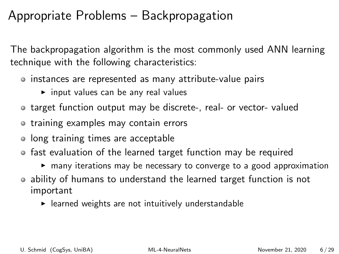### Appropriate Problems – Backpropagation

The backpropagation algorithm is the most commonly used ANN learning technique with the following characteristics:

- instances are represented as many attribute-value pairs
	- $\triangleright$  input values can be any real values
- target function output may be discrete-, real- or vector- valued
- **•** training examples may contain errors
- long training times are acceptable
- fast evaluation of the learned target function may be required
	- $\triangleright$  many iterations may be necessary to converge to a good approximation
- ability of humans to understand the learned target function is not important
	- $\blacktriangleright$  learned weights are not intuitively understandable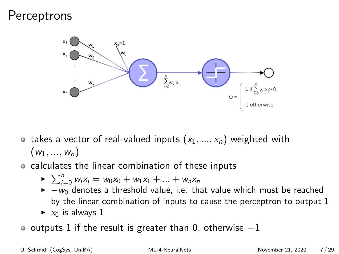### **Perceptrons**



- takes a vector of real-valued inputs  $(x_1, ..., x_n)$  weighted with  $(w_1, ..., w_n)$
- calculates the linear combination of these inputs
	- $\blacktriangleright \sum_{i=0}^{n} w_i x_i = w_0 x_0 + w_1 x_1 + \ldots + w_n x_n$
	- $\rightarrow -w_0$  denotes a threshold value, i.e. that value which must be reached by the linear combination of inputs to cause the perceptron to output 1
	- $\triangleright$   $x_0$  is always 1
- o outputs 1 if the result is greater than 0, otherwise  $-1$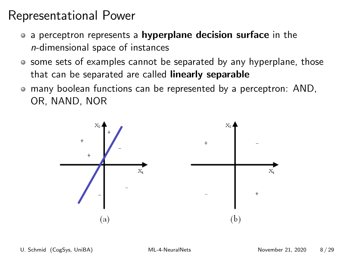### Representational Power

- a perceptron represents a hyperplane decision surface in the n-dimensional space of instances
- some sets of examples cannot be separated by any hyperplane, those that can be separated are called **linearly separable**
- many boolean functions can be represented by a perceptron: AND, OR, NAND, NOR

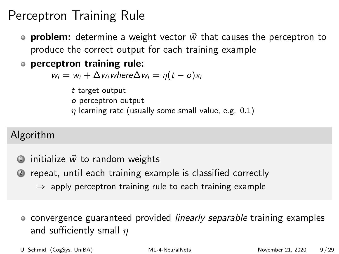## Perceptron Training Rule

- **problem:** determine a weight vector  $\vec{w}$  that causes the perceptron to produce the correct output for each training example
- perceptron training rule:

 $w_i = w_i + \Delta w_i$  where  $\Delta w_i = \eta(t - \delta)x_i$ 

- t target output
- o perceptron output
- $\eta$  learning rate (usually some small value, e.g. 0.1)

### Algorithm

- $\Phi$  initialize  $\vec{w}$  to random weights
- <sup>2</sup> repeat, until each training example is classified correctly
	- $\Rightarrow$  apply perceptron training rule to each training example
	- convergence guaranteed provided *linearly separable* training examples and sufficiently small  $\eta$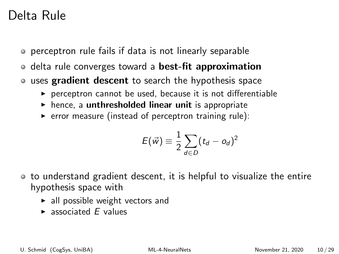### Delta Rule

- perceptron rule fails if data is not linearly separable
- delta rule converges toward a best-fit approximation  $\bullet$
- **uses gradient descent** to search the hypothesis space
	- $\triangleright$  perceptron cannot be used, because it is not differentiable
	- $\triangleright$  hence, a unthresholded linear unit is appropriate
	- $\triangleright$  error measure (instead of perceptron training rule):

$$
E(\vec{w}) \equiv \frac{1}{2} \sum_{d \in D} (t_d - o_d)^2
$$

- to understand gradient descent, it is helpful to visualize the entire hypothesis space with
	- $\blacktriangleright$  all possible weight vectors and
	- $\blacktriangleright$  associated  $F$  values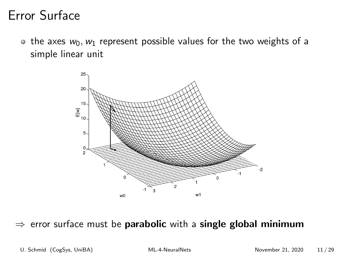### Error Surface

• the axes  $w_0, w_1$  represent possible values for the two weights of a simple linear unit



#### $\Rightarrow$  error surface must be parabolic with a single global minimum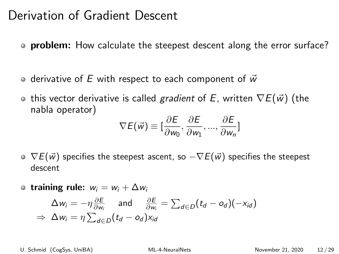### Derivation of Gradient Descent

- **problem:** How calculate the steepest descent along the error surface?
- $\bullet$  derivative of E with respect to each component of  $\vec{w}$
- **o** this vector derivative is called gradient of E, written  $\nabla E(\vec{w})$  (the nabla operator)

$$
\nabla E(\vec{w}) \equiv [\frac{\partial E}{\partial w_0}, \frac{\partial E}{\partial w_1}, ..., \frac{\partial E}{\partial w_n}]
$$

- $\circ \nabla E(\vec{w})$  specifies the steepest ascent, so  $-\nabla E(\vec{w})$  specifies the steepest descent
- training rule:  $w_i = w_i + \Delta w_i$

$$
\Delta w_i = -\eta \frac{\partial E}{\partial w_i} \quad \text{and} \quad \frac{\partial E}{\partial w_i} = \sum_{d \in D} (t_d - o_d)(-x_{id})
$$
  
\n
$$
\Rightarrow \Delta w_i = \eta \sum_{d \in D} (t_d - o_d) x_{id}
$$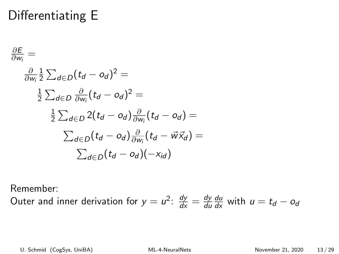# Differentiating E

$$
\frac{\partial E}{\partial w_i} =
$$
\n
$$
\frac{\partial}{\partial w_i} \frac{1}{2} \sum_{d \in D} (t_d - o_d)^2 =
$$
\n
$$
\frac{1}{2} \sum_{d \in D} \frac{\partial}{\partial w_i} (t_d - o_d)^2 =
$$
\n
$$
\frac{1}{2} \sum_{d \in D} 2(t_d - o_d) \frac{\partial}{\partial w_i} (t_d - o_d) =
$$
\n
$$
\sum_{d \in D} (t_d - o_d) \frac{\partial}{\partial w_i} (t_d - \vec{w} \vec{x}_d) =
$$
\n
$$
\sum_{d \in D} (t_d - o_d) (-x_{id})
$$

Remember:

Outer and inner derivation for  $y = u^2$ :  $\frac{dy}{dx} = \frac{dy}{du}$ du  $\frac{du}{dx}$  with  $u = t_d - o_d$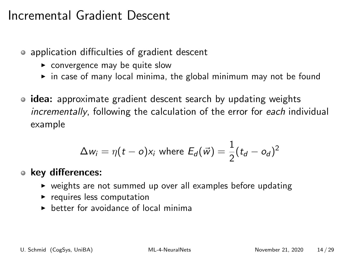### Incremental Gradient Descent

- application difficulties of gradient descent
	- $\triangleright$  convergence may be quite slow
	- $\triangleright$  in case of many local minima, the global minimum may not be found
- idea: approximate gradient descent search by updating weights incrementally, following the calculation of the error for each individual example

$$
\Delta w_i = \eta(t - o)x_i \text{ where } E_d(\vec{w}) = \frac{1}{2}(t_d - o_d)^2
$$

#### key differences:

- $\triangleright$  weights are not summed up over all examples before updating
- $\blacktriangleright$  requires less computation
- $\triangleright$  better for avoidance of local minima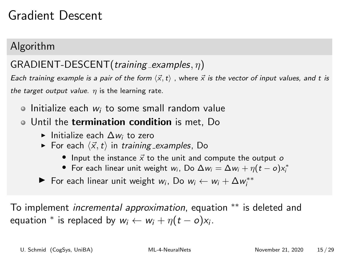### Gradient Descent

### Algorithm

### $GRADIENT-DESCENT(training$ <sub>examples,  $\eta$ )</sub>

Each training example is a pair of the form  $\langle \vec{x},t \rangle$ , where  $\vec{x}$  is the vector of input values, and t is the target output value.  $\eta$  is the learning rate.

- $\circ$  Initialize each w; to some small random value
- Until the termination condition is met, Do
	- $\blacktriangleright$  Initialize each  $\Delta w_i$  to zero
	- For each  $\langle \vec{x},t \rangle$  in training examples, Do
		- Input the instance  $\vec{x}$  to the unit and compute the output o
		- For each linear unit weight  $w_i$ , Do  $\Delta w_i = \Delta w_i + \eta (t o)x_i^*$
	- For each linear unit weight  $w_i$ , Do  $w_i \leftarrow w_i + \Delta w_i^{**}$

To implement *incremental approximation*, equation <sup>\*\*</sup> is deleted and equation  $^*$  is replaced by  $w_i \leftarrow w_i + \eta(t - o)x_i$ .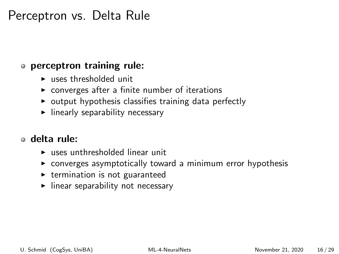### Perceptron vs. Delta Rule

#### perceptron training rule:

- $\blacktriangleright$  uses thresholded unit
- $\triangleright$  converges after a finite number of iterations
- $\triangleright$  output hypothesis classifies training data perfectly
- $\blacktriangleright$  linearly separability necessary

#### delta rule:

- $\blacktriangleright$  uses unthresholded linear unit
- $\triangleright$  converges asymptotically toward a minimum error hypothesis
- $\triangleright$  termination is not guaranteed
- $\blacktriangleright$  linear separability not necessary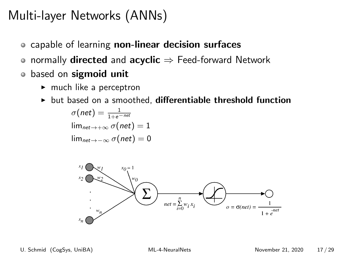# Multi-layer Networks (ANNs)

- **o** capable of learning non-linear decision surfaces
- normally **directed** and **acyclic**  $\Rightarrow$  Feed-forward Network  $\bullet$
- based on sigmoid unit  $\bullet$ 
	- $\blacktriangleright$  much like a perceptron
	- $\triangleright$  but based on a smoothed, differentiable threshold function

$$
\sigma(net) = \frac{1}{1+e^{-net}}
$$
  
\n
$$
\lim_{net \to +\infty} \sigma(net) = 1
$$
  
\n
$$
\lim_{net \to -\infty} \sigma(net) = 0
$$

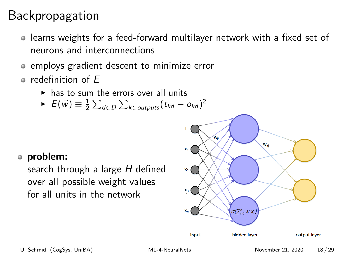## Backpropagation

- learns weights for a feed-forward multilayer network with a fixed set of neurons and interconnections
- employs gradient descent to minimize error
- $\bullet$  redefinition of  $F$ 
	- $\triangleright$  has to sum the errors over all units
	- $\blacktriangleright$   $E(\vec{w}) \equiv \frac{1}{2} \sum_{d \in D} \sum_{k \in \textit{outputs}} (t_{kd} o_{kd})^2$

#### problem:

search through a large H defined over all possible weight values for all units in the network

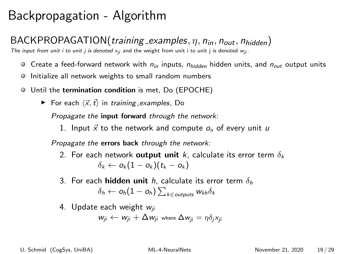## Backpropagation - Algorithm

#### $BACKPROPAGATION (training-examples,  $\eta$ ,  $n_{in}$ ,  $n_{out}$ ,  $n_{hidden}$ )$

The input from unit i to unit j is denoted  $x_{ij}$  and the weight from unit i to unit j is denoted  $w_{ij}$ .

- $\bullet$  Create a feed-forward network with  $n_{in}$  inputs,  $n_{hidden}$  hidden units, and  $n_{out}$  output units
- Initialize all network weights to small random numbers .
- Until the termination condition is met, Do (EPOCHE)
	- For each  $\langle \vec{x}, \vec{t} \rangle$  in training examples, Do

Propagate the input forward through the network:

1. Input  $\vec{x}$  to the network and compute  $o_u$  of every unit u

Propagate the errors back through the network:

- 2. For each network output unit k, calculate its error term  $\delta_k$  $\delta_k \leftarrow o_k(1 - o_k)(t_k - o_k)$
- 3. For each **hidden unit** h, calculate its error term  $\delta_h$  $\delta_h \leftarrow$  Oh $(1-o_h)\sum_{k \in \textit{outputs}} w_{kh} \delta_k$
- 4. Update each weight  $w_{ii}$

$$
w_{ji} \leftarrow w_{ji} + \Delta w_{ji} \text{ where } \Delta w_{ji} = \eta \delta_j x_{ji}
$$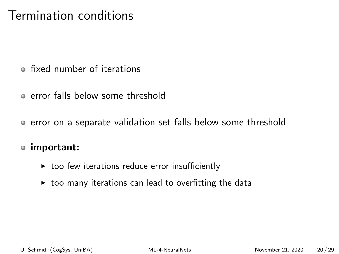### Termination conditions

- fixed number of iterations
- error falls below some threshold
- error on a separate validation set falls below some threshold

#### important:

- $\triangleright$  too few iterations reduce error insufficiently
- $\triangleright$  too many iterations can lead to overfitting the data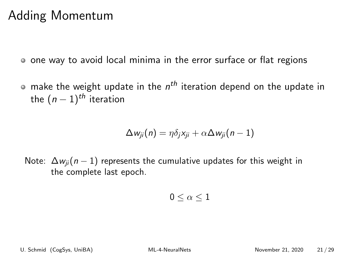### Adding Momentum

one way to avoid local minima in the error surface or flat regions

make the weight update in the  $n^{th}$  iteration depend on the update in the  $(n-1)$ <sup>th</sup> iteration

$$
\Delta w_{ji}(n) = \eta \delta_j x_{ji} + \alpha \Delta w_{ji}(n-1)
$$

Note:  $\Delta w_{ii}(n-1)$  represents the cumulative updates for this weight in the complete last epoch.

$$
0\leq \alpha \leq 1
$$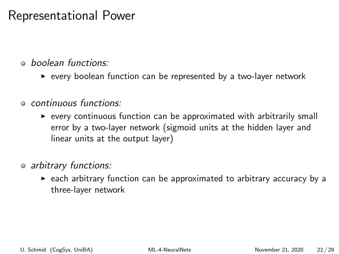### Representational Power

- boolean functions:
	- $\triangleright$  every boolean function can be represented by a two-layer network
- continuous functions:
	- $\triangleright$  every continuous function can be approximated with arbitrarily small error by a two-layer network (sigmoid units at the hidden layer and linear units at the output layer)
- o arbitrary functions:
	- $\triangleright$  each arbitrary function can be approximated to arbitrary accuracy by a three-layer network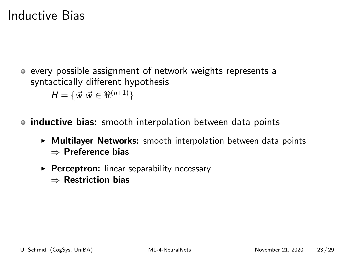### Inductive Bias

- every possible assignment of network weights represents a syntactically different hypothesis  $H = {\vec{w} | \vec{w} \in \Re^{(n+1)}}$
- inductive bias: smooth interpolation between data points
	- $\triangleright$  Multilayer Networks: smooth interpolation between data points ⇒ Preference bias
	- $\triangleright$  Perceptron: linear separability necessary
		- ⇒ Restriction bias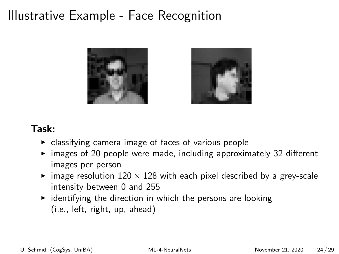### Illustrative Example - Face Recognition





#### Task:

- $\triangleright$  classifying camera image of faces of various people
- $\triangleright$  images of 20 people were made, including approximately 32 different images per person
- image resolution  $120 \times 128$  with each pixel described by a grey-scale intensity between 0 and 255
- $\rightarrow$  identifying the direction in which the persons are looking (i.e., left, right, up, ahead)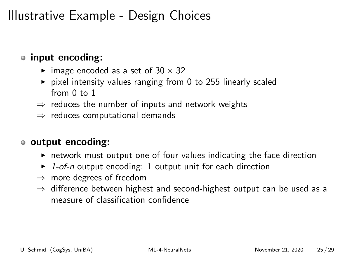### Illustrative Example - Design Choices

### input encoding:

- $\blacktriangleright$  image encoded as a set of 30  $\times$  32
- $\triangleright$  pixel intensity values ranging from 0 to 255 linearly scaled from  $0$  to  $1$
- $\Rightarrow$  reduces the number of inputs and network weights
- $\Rightarrow$  reduces computational demands

#### output encoding:

- $\triangleright$  network must output one of four values indicating the face direction
- $\triangleright$  1-of-n output encoding: 1 output unit for each direction
- $\Rightarrow$  more degrees of freedom
- $\Rightarrow$  difference between highest and second-highest output can be used as a measure of classification confidence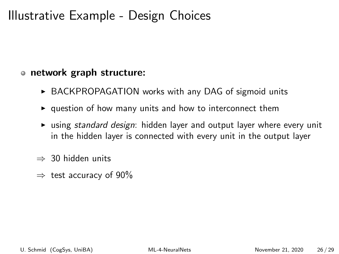### Illustrative Example - Design Choices

#### o network graph structure:

- ▶ BACKPROPAGATION works with any DAG of sigmoid units
- $\rightarrow$  question of how many units and how to interconnect them
- $\triangleright$  using standard design: hidden layer and output layer where every unit in the hidden layer is connected with every unit in the output layer
- $\Rightarrow$  30 hidden units
- $\Rightarrow$  test accuracy of 90%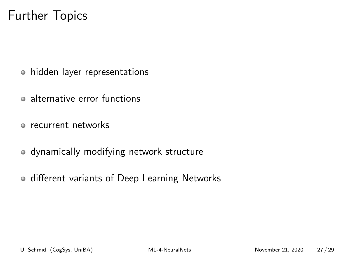### Further Topics

- hidden layer representations
- alternative error functions
- recurrent networks
- dynamically modifying network structure
- **o** different variants of Deep Learning Networks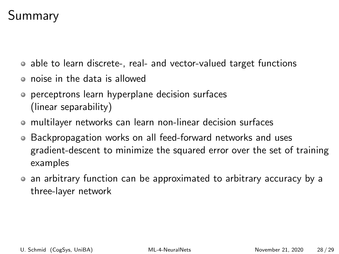## Summary

- able to learn discrete-, real- and vector-valued target functions
- noise in the data is allowed
- perceptrons learn hyperplane decision surfaces (linear separability)
- multilayer networks can learn non-linear decision surfaces
- Backpropagation works on all feed-forward networks and uses gradient-descent to minimize the squared error over the set of training examples
- an arbitrary function can be approximated to arbitrary accuracy by a three-layer network